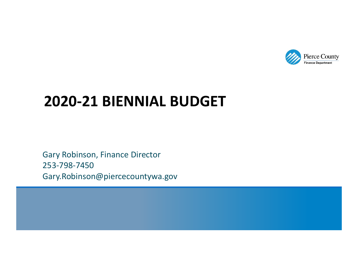

# **2020‐21 BIENNIAL BUDGET**

Gary Robinson, Finance Director 253‐798‐7450 Gary.Robinson@piercecountywa.gov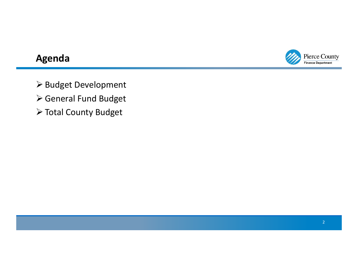

#### **Agenda**

> Budget Development

- General Fund Budget
- Total County Budget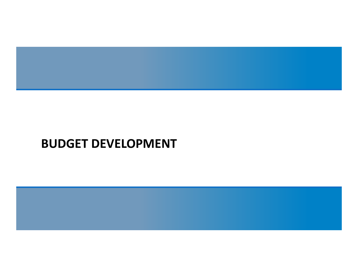

# **BUDGET DEVELOPMENT**

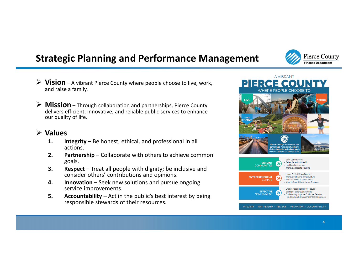## **Strategic Planning and Performance Management**

- **Vision** A vibrant Pierce County where people choose to live, work, and raise a family.
- **Mission** Through collaboration and partnerships, Pierce County delivers efficient, innovative, and reliable public services to enhance our quality of life.

#### **Values**

- **1. Integrity** Be honest, ethical, and professional in all actions.
- **2. Partnership** Collaborate with others to achieve common goals.
- **3. Respect** Treat all people with dignity; be inclusive and consider others' contributions and opinions.
- **4. Innovation** Seek new solutions and pursue ongoing service improvements.
- **5. Accountability** Act in the public's best interest by being responsible stewards of their resources.



**Pierce County Finance Department**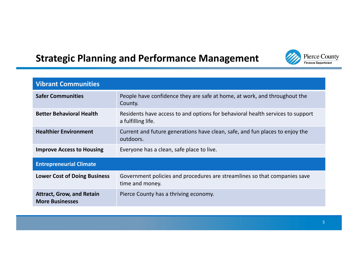#### Pierce County Finance Department

# **Strategic Planning and Performance Management**

| <b>Vibrant Communities</b>                                 |                                                                                                      |  |  |  |  |
|------------------------------------------------------------|------------------------------------------------------------------------------------------------------|--|--|--|--|
| <b>Safer Communities</b>                                   | People have confidence they are safe at home, at work, and throughout the<br>County.                 |  |  |  |  |
| <b>Better Behavioral Health</b>                            | Residents have access to and options for behavioral health services to support<br>a fulfilling life. |  |  |  |  |
| <b>Healthier Environment</b>                               | Current and future generations have clean, safe, and fun places to enjoy the<br>outdoors.            |  |  |  |  |
| <b>Improve Access to Housing</b>                           | Everyone has a clean, safe place to live.                                                            |  |  |  |  |
| <b>Entrepreneurial Climate</b>                             |                                                                                                      |  |  |  |  |
| <b>Lower Cost of Doing Business</b>                        | Government policies and procedures are streamlines so that companies save<br>time and money.         |  |  |  |  |
| <b>Attract, Grow, and Retain</b><br><b>More Businesses</b> | Pierce County has a thriving economy.                                                                |  |  |  |  |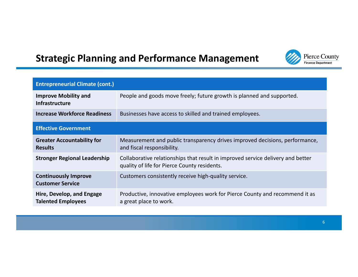# **Strategic Planning and Performance Management**



| <b>Entrepreneurial Climate (cont.)</b>                 |                                                                                                                                 |
|--------------------------------------------------------|---------------------------------------------------------------------------------------------------------------------------------|
| <b>Improve Mobility and</b><br>Infrastructure          | People and goods move freely; future growth is planned and supported.                                                           |
| <b>Increase Workforce Readiness</b>                    | Businesses have access to skilled and trained employees.                                                                        |
| <b>Effective Government</b>                            |                                                                                                                                 |
| <b>Greater Accountability for</b><br><b>Results</b>    | Measurement and public transparency drives improved decisions, performance,<br>and fiscal responsibility.                       |
| <b>Stronger Regional Leadership</b>                    | Collaborative relationships that result in improved service delivery and better<br>quality of life for Pierce County residents. |
| <b>Continuously Improve</b><br><b>Customer Service</b> | Customers consistently receive high-quality service.                                                                            |
| Hire, Develop, and Engage<br><b>Talented Employees</b> | Productive, innovative employees work for Pierce County and recommend it as<br>a great place to work.                           |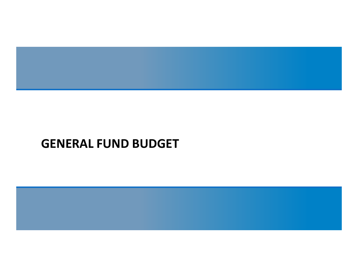

# **GENERAL FUND BUDGET**

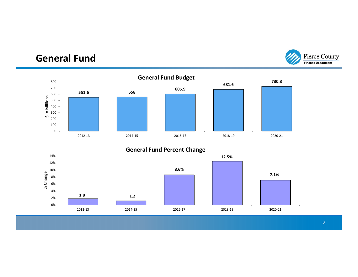#### **General Fund**



**General Fund Percent Change**



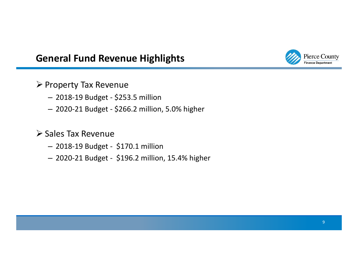#### **General Fund Revenue Highlights**



- $\triangleright$  Property Tax Revenue
	- 2018‐19 Budget ‐ \$253.5 million
	- 2020‐21 Budget ‐ \$266.2 million, 5.0% higher

#### **≻ Sales Tax Revenue**

- 2018‐19 Budget ‐ \$170.1 million
- 2020‐21 Budget ‐ \$196.2 million, 15.4% higher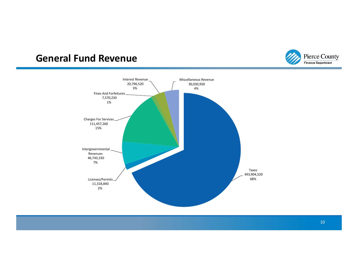#### **General Fund Revenue**



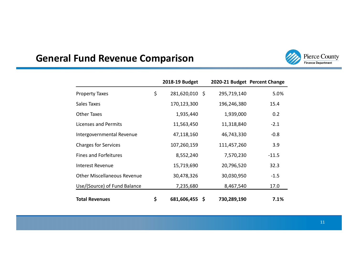# **General Fund Revenue Comparison**



|                                    | 2018-19 Budget       | 2020-21 Budget Percent Change |         |
|------------------------------------|----------------------|-------------------------------|---------|
| <b>Property Taxes</b>              | \$<br>281,620,010 \$ | 295,719,140                   | 5.0%    |
| Sales Taxes                        | 170,123,300          | 196,246,380                   | 15.4    |
| Other Taxes                        | 1,935,440            | 1,939,000                     | 0.2     |
| <b>Licenses and Permits</b>        | 11,563,450           | 11,318,840                    | $-2.1$  |
| Intergovernmental Revenue          | 47,118,160           | 46,743,330                    | $-0.8$  |
| <b>Charges for Services</b>        | 107,260,159          | 111,457,260                   | 3.9     |
| <b>Fines and Forfeitures</b>       | 8,552,240            | 7,570,230                     | $-11.5$ |
| <b>Interest Revenue</b>            | 15,719,690           | 20,796,520                    | 32.3    |
| <b>Other Miscellaneous Revenue</b> | 30,478,326           | 30,030,950                    | $-1.5$  |
| Use/(Source) of Fund Balance       | 7,235,680            | 8,467,540                     | 17.0    |
| <b>Total Revenues</b>              | \$<br>681,606,455 \$ | 730,289,190                   | 7.1%    |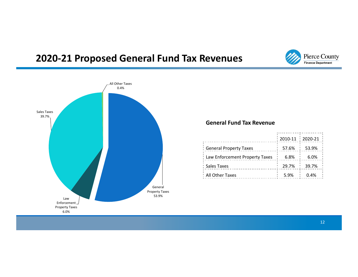#### **2020‐21 Proposed General Fund Tax Revenues**





#### **General Fund Tax Revenue**

|                                    |      | $\frac{1}{2}$ 2010-11 $\frac{1}{2}$ 2020-21 $\frac{1}{2}$ |
|------------------------------------|------|-----------------------------------------------------------|
| : General Property Taxes           |      | 57.6% : 53.9% :                                           |
| : Law Enforcement Property Taxes : | 6.8% | 6.0%                                                      |
| : Sales Taxes                      |      | 29.7% : 39.7%                                             |
| : All Other Taxes                  |      | $5.9\%$ : 0.4%                                            |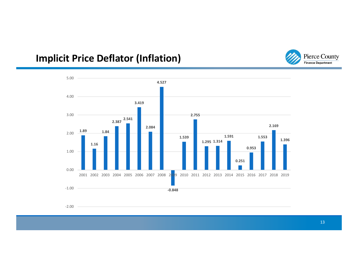# **Implicit Price Deflator (Inflation)**





13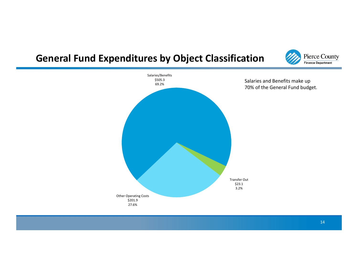#### **General Fund Expenditures by Object Classification**



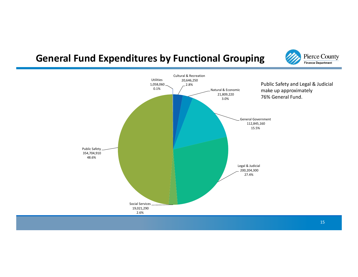#### **General Fund Expenditures by Functional Grouping**



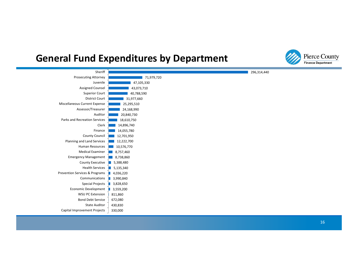#### **General Fund Expenditures by Department**



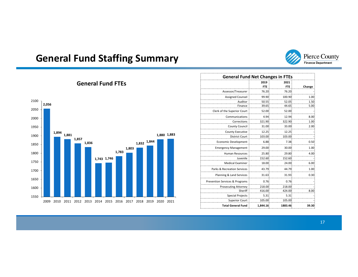

# **General Fund Staffing Summary**

|                          |                                | <b>General Fund Net Changes in FTEs</b> |            |        |  |  |  |
|--------------------------|--------------------------------|-----------------------------------------|------------|--------|--|--|--|
|                          |                                | 2019                                    | 2021       |        |  |  |  |
|                          |                                | <b>FTE</b>                              | <b>FTE</b> | Change |  |  |  |
|                          | Assessor/Treasurer             | 76.20                                   | 76.20      |        |  |  |  |
|                          | <b>Assigned Counsel</b>        | 99.90                                   | 100.90     | 1.00   |  |  |  |
|                          | Auditor                        | 50.55                                   | 52.05      | 1.50   |  |  |  |
|                          | Finance                        | 39.65                                   | 44.65      | 5.00   |  |  |  |
|                          | Clerk of the Superior Court    | 52.00                                   | 52.00      |        |  |  |  |
|                          | Communications                 | 4.94                                    | 12.94      | 8.00   |  |  |  |
|                          | Corrections                    | 321.90                                  | 322.90     | 1.00   |  |  |  |
|                          | <b>County Council</b>          | 31.00                                   | 33.00      | 2.00   |  |  |  |
|                          | <b>County Executive</b>        | 12.25                                   | 12.25      |        |  |  |  |
| 1,880 1,883              | <b>District Court</b>          | 103.00                                  | 103.00     |        |  |  |  |
| 832 1,844                | <b>Economic Development</b>    | 6.88                                    | 7.38       | 0.50   |  |  |  |
|                          | <b>Emergency Management</b>    | 29.00                                   | 30.00      | 1.00   |  |  |  |
|                          | <b>Human Resources</b>         | 25.80                                   | 29.80      | 4.00   |  |  |  |
|                          | Juvenile                       | 152.60                                  | 152.60     |        |  |  |  |
|                          | <b>Medical Examiner</b>        | 18.00                                   | 24.00      | 6.00   |  |  |  |
|                          | Parks & Recreation Services    | 43.79                                   | 44.79      | 1.00   |  |  |  |
|                          | Planning & Land Services       | 31.63                                   | 31.93      | 0.30   |  |  |  |
|                          | Prevention Services & Programs | 0.76                                    | 0.76       |        |  |  |  |
|                          | <b>Prosecuting Attorney</b>    | 218.00                                  | 218.00     |        |  |  |  |
|                          | Sheriff                        | 416.00                                  | 424.00     | 8.00   |  |  |  |
|                          | <b>Special Projects</b>        | 5.31                                    | 5.31       |        |  |  |  |
| 2019<br>2020 2021<br>018 | <b>Superior Court</b>          | 105.00                                  | 105.00     |        |  |  |  |
|                          | <b>Total General Fund</b>      | 1,844.16                                | 1883.46    | 39.30  |  |  |  |

#### **General Fund FTEs**

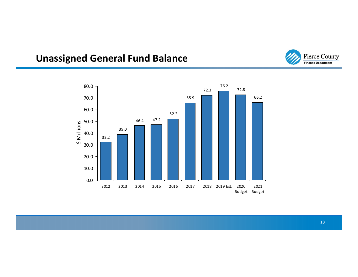# **Unassigned General Fund Balance**



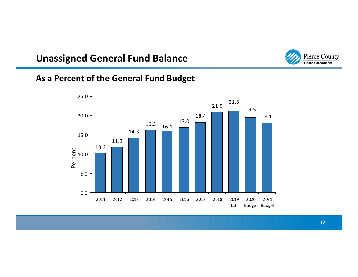#### **Unassigned General Fund Balance**



#### **As a Percent of the General Fund Budget**

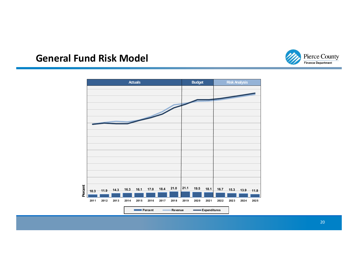

#### **General Fund Risk Model**

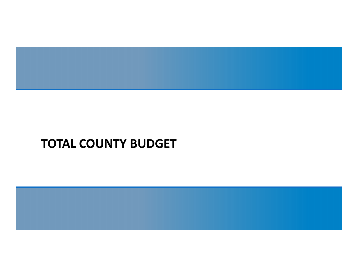

# **TOTAL COUNTY BUDGET**

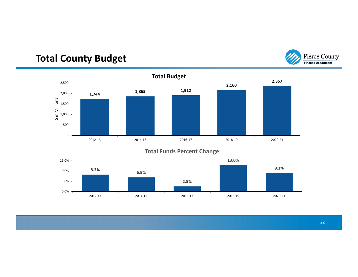# **Total County Budget**



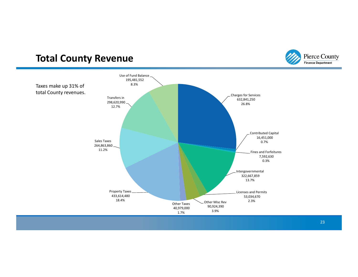#### **Total County Revenue**



Pierce County Finance Department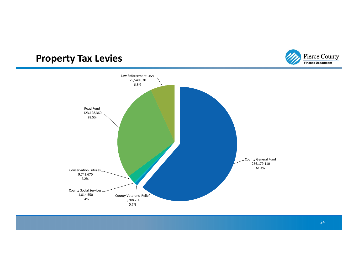#### **Property Tax Levies**



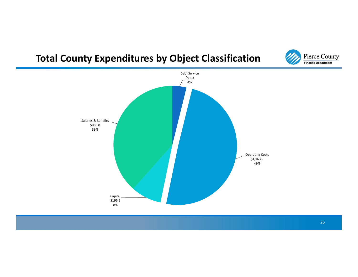# **Total County Expenditures by Object Classification**



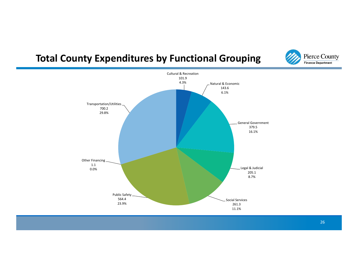### **Total County Expenditures by Functional Grouping**



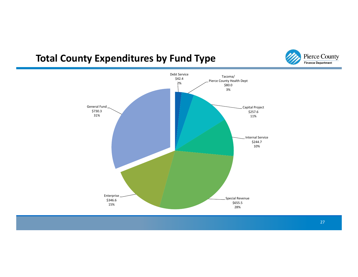# **Total County Expenditures by Fund Type**